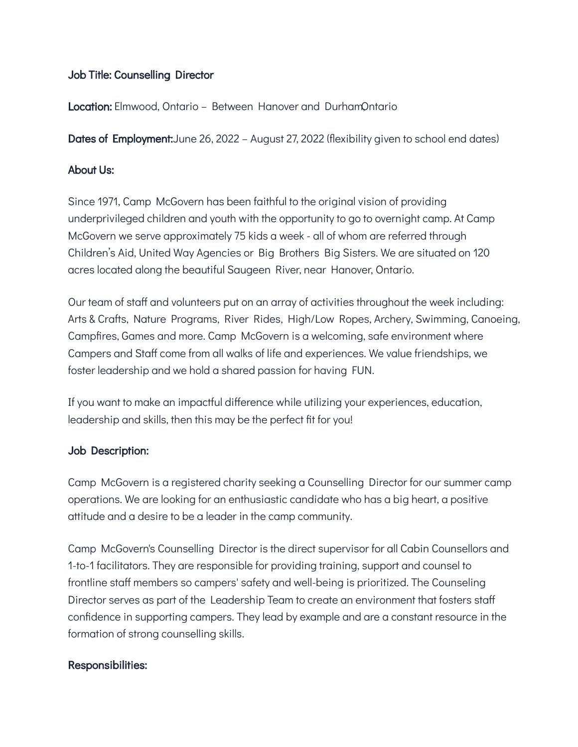# Job Title: Counselling Director

Location: Elmwood, Ontario - Between Hanover and DurhamOntario

**Dates of Employment:**June 26, 2022 – August 27, 2022 (flexibility given to school end dates)

### About Us:

Since 1971, Camp McGovern has been faithful to the original vision of providing underprivileged children and youth with the opportunity to go to overnight camp. At Camp McGovern we serve approximately 75 kids a week - all of whom are referred through Children's Aid, United Way Agencies or Big Brothers Big Sisters. We are situated on 120 acres located along the beautiful Saugeen River, near Hanover, Ontario.

Our team of staff and volunteers put on an array of activities throughout the week including: Arts & Crafts, Nature Programs, River Rides, High/Low Ropes, Archery, Swimming, Canoeing, Campfires, Games and more. Camp McGovern is a welcoming, safe environment where Campers and Staff come from all walks of life and experiences. We value friendships, we foster leadership and we hold a shared passion for having FUN.

If you want to make an impactful difference while utilizing your experiences, education, leadership and skills, then this may be the perfect fit for you!

#### Job Description:

Camp McGovern is a registered charity seeking a Counselling Director for our summer camp operations. We are looking for an enthusiastic candidate who has a big heart, a positive attitude and a desire to be a leader in the camp community.

Camp McGovern's Counselling Director is the direct supervisor for all Cabin Counsellors and 1-to-1 facilitators. They are responsible for providing training, support and counsel to frontline staff members so campers' safety and well-being is prioritized. The Counseling Director serves as part of the Leadership Team to create an environment that fosters staff confidence in supporting campers. They lead by example and are a constant resource in the formation of strong counselling skills.

# Responsibilities: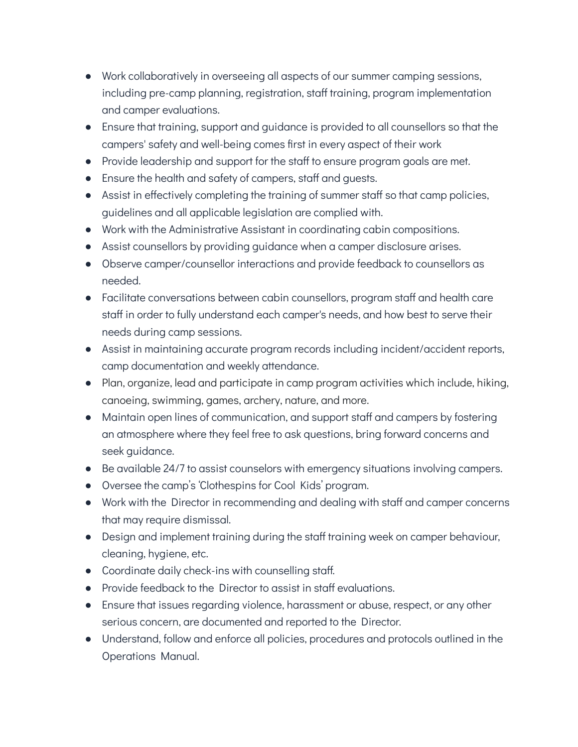- Work collaboratively in overseeing all aspects of our summer camping sessions, including pre-camp planning, registration, staff training, program implementation and camper evaluations.
- Ensure that training, support and guidance is provided to all counsellors so that the campers' safety and well-being comes first in every aspect of their work
- Provide leadership and support for the staff to ensure program goals are met.
- Ensure the health and safety of campers, staff and guests.
- Assist in effectively completing the training of summer staff so that camp policies, guidelines and all applicable legislation are complied with.
- Work with the Administrative Assistant in coordinating cabin compositions.
- Assist counsellors by providing guidance when a camper disclosure arises.
- Observe camper/counsellor interactions and provide feedback to counsellors as needed.
- Facilitate conversations between cabin counsellors, program staff and health care staff in order to fully understand each camper's needs, and how best to serve their needs during camp sessions.
- Assist in maintaining accurate program records including incident/accident reports, camp documentation and weekly attendance.
- Plan, organize, lead and participate in camp program activities which include, hiking, canoeing, swimming, games, archery, nature, and more.
- Maintain open lines of communication, and support staff and campers by fostering an atmosphere where they feel free to ask questions, bring forward concerns and seek guidance.
- Be available 24/7 to assist counselors with emergency situations involving campers.
- Oversee the camp's 'Clothespins for Cool Kids' program.
- Work with the Director in recommending and dealing with staff and camper concerns that may require dismissal.
- Design and implement training during the staff training week on camper behaviour, cleaning, hygiene, etc.
- Coordinate daily check-ins with counselling staff.
- Provide feedback to the Director to assist in staff evaluations.
- Ensure that issues regarding violence, harassment or abuse, respect, or any other serious concern, are documented and reported to the Director.
- Understand, follow and enforce all policies, procedures and protocols outlined in the Operations Manual.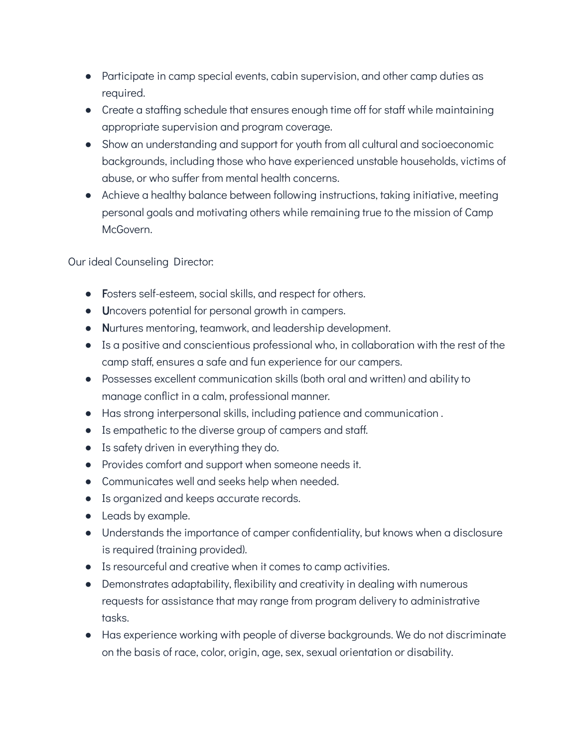- Participate in camp special events, cabin supervision, and other camp duties as required.
- Create a staffing schedule that ensures enough time off for staff while maintaining appropriate supervision and program coverage.
- Show an understanding and support for youth from all cultural and socioeconomic backgrounds, including those who have experienced unstable households, victims of abuse, or who suffer from mental health concerns.
- Achieve a healthy balance between following instructions, taking initiative, meeting personal goals and motivating others while remaining true to the mission of Camp McGovern.

Our ideal Counseling Director:

- Fosters self-esteem, social skills, and respect for others.
- Uncovers potential for personal growth in campers.
- Nurtures mentoring, teamwork, and leadership development.
- Is a positive and conscientious professional who, in collaboration with the rest of the camp staff, ensures a safe and fun experience for our campers.
- Possesses excellent communication skills (both oral and written) and ability to manage conflict in a calm, professional manner.
- Has strong interpersonal skills, including patience and communication .
- Is empathetic to the diverse group of campers and staff.
- Is safety driven in everything they do.
- Provides comfort and support when someone needs it.
- Communicates well and seeks help when needed.
- Is organized and keeps accurate records.
- Leads by example.
- Understands the importance of camper confidentiality, but knows when a disclosure is required (training provided).
- Is resourceful and creative when it comes to camp activities.
- Demonstrates adaptability, flexibility and creativity in dealing with numerous requests for assistance that may range from program delivery to administrative tasks.
- Has experience working with people of diverse backgrounds. We do not discriminate on the basis of race, color, origin, age, sex, sexual orientation or disability.